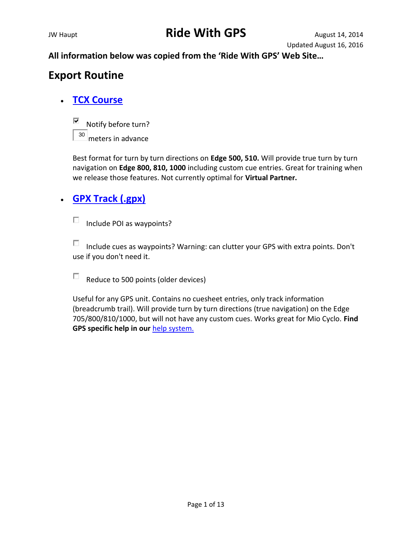**All information below was copied from the 'Ride With GPS' Web Site…**

## **Export Routine**

### **[TCX Course](http://ridewithgps.com/routes/5482684.tcx)**



Best format for turn by turn directions on **Edge 500, 510.** Will provide true turn by turn navigation on **Edge 800, 810, 1000** including custom cue entries. Great for training when we release those features. Not currently optimal for **Virtual Partner.**

### **[GPX Track \(.gpx\)](http://ridewithgps.com/routes/5482684.gpx?sub_format=track)**

Include POI as waypoints?  $\Box$ 

П Include cues as waypoints? Warning: can clutter your GPS with extra points. Don't use if you don't need it.

П. Reduce to 500 points (older devices)

Useful for any GPS unit. Contains no cuesheet entries, only track information (breadcrumb trail). Will provide turn by turn directions (true navigation) on the Edge 705/800/810/1000, but will not have any custom cues. Works great for Mio Cyclo. **Find GPS specific help in our** [help system.](http://ridewithgps.com/help)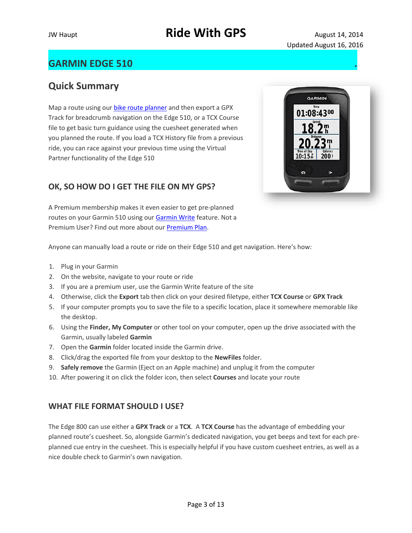### **GARMIN EDGE 510 .**

### **Quick Summary**

Map a route using our **[bike route planner](http://ridewithgps.com/routes/new)** and then export a GPX Track for breadcrumb navigation on the Edge 510, or a TCX Course file to get basic turn guidance using the cuesheet generated when you planned the route. If you load a TCX History file from a previous ride, you can race against your previous time using the Virtual Partner functionality of the Edge 510

### **OK, SO HOW DO I GET THE FILE ON MY GPS?**

A Premium membership makes it even easier to get pre-planned routes on your Garmin 510 using our [Garmin Write](http://ridewithgps.com/help/garmin-write) feature. Not a Premium User? Find out more about our [Premium Plan.](http://ridewithgps.com/choose_account)

Anyone can manually load a route or ride on their Edge 510 and get navigation. Here's how:

- 1. Plug in your Garmin
- 2. On the website, navigate to your route or ride
- 3. If you are a premium user, use the Garmin Write feature of the site
- 4. Otherwise, click the **Export** tab then click on your desired filetype, either **TCX Course** or **GPX Track**
- 5. If your computer prompts you to save the file to a specific location, place it somewhere memorable like the desktop.
- 6. Using the **Finder, My Computer** or other tool on your computer, open up the drive associated with the Garmin, usually labeled **Garmin**
- 7. Open the **Garmin** folder located inside the Garmin drive.
- 8. Click/drag the exported file from your desktop to the **NewFiles** folder.
- 9. **Safely remove** the Garmin (Eject on an Apple machine) and unplug it from the computer
- 10. After powering it on click the folder icon, then select **Courses** and locate your route

#### **WHAT FILE FORMAT SHOULD I USE?**

The Edge 800 can use either a **GPX Track** or a **TCX**. A **TCX Course** has the advantage of embedding your planned route's cuesheet. So, alongside Garmin's dedicated navigation, you get beeps and text for each preplanned cue entry in the cuesheet. This is especially helpful if you have custom cuesheet entries, as well as a nice double check to Garmin's own navigation.



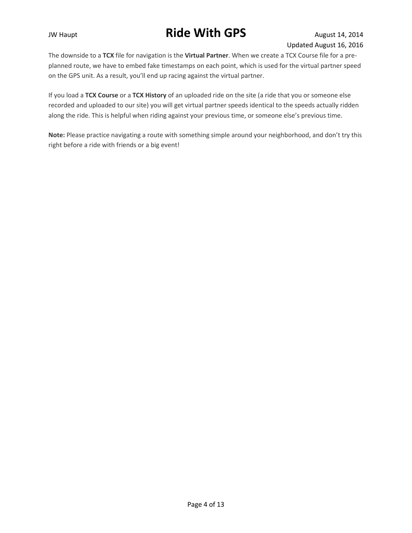The downside to a **TCX** file for navigation is the **Virtual Partner**. When we create a TCX Course file for a preplanned route, we have to embed fake timestamps on each point, which is used for the virtual partner speed on the GPS unit. As a result, you'll end up racing against the virtual partner.

If you load a **TCX Course** or a **TCX History** of an uploaded ride on the site (a ride that you or someone else recorded and uploaded to our site) you will get virtual partner speeds identical to the speeds actually ridden along the ride. This is helpful when riding against your previous time, or someone else's previous time.

**Note:** Please practice navigating a route with something simple around your neighborhood, and don't try this right before a ride with friends or a big event!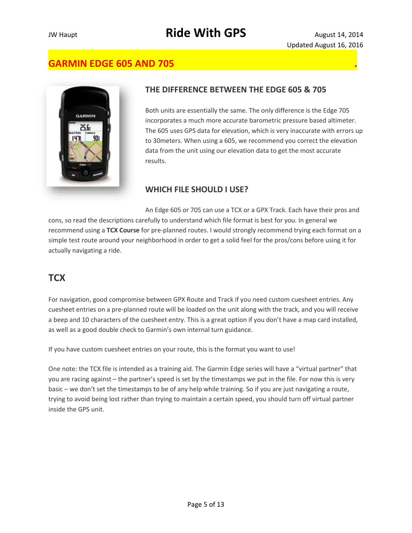### **GARMIN EDGE 605 AND 705 .**



#### **THE DIFFERENCE BETWEEN THE EDGE 605 & 705**

Both units are essentially the same. The only difference is the Edge 705 incorporates a much more accurate barometric pressure based altimeter. The 605 uses GPS data for elevation, which is very inaccurate with errors up to 30meters. When using a 605, we recommend you correct the elevation data from the unit using our elevation data to get the most accurate results.

#### **WHICH FILE SHOULD I USE?**

An Edge 605 or 705 can use a TCX or a GPX Track. Each have their pros and cons, so read the descriptions carefully to understand which file format is best for you. In general we recommend using a **TCX Course** for pre-planned routes. I would strongly recommend trying each format on a simple test route around your neighborhood in order to get a solid feel for the pros/cons before using it for actually navigating a ride.

### **TCX**

For navigation, good compromise between GPX Route and Track if you need custom cuesheet entries. Any cuesheet entries on a pre-planned route will be loaded on the unit along with the track, and you will receive a beep and 10 characters of the cuesheet entry. This is a great option if you don't have a map card installed, as well as a good double check to Garmin's own internal turn guidance.

If you have custom cuesheet entries on your route, this is the format you want to use!

One note: the TCX file is intended as a training aid. The Garmin Edge series will have a "virtual partner" that you are racing against – the partner's speed is set by the timestamps we put in the file. For now this is very basic – we don't set the timestamps to be of any help while training. So if you are just navigating a route, trying to avoid being lost rather than trying to maintain a certain speed, you should turn off virtual partner inside the GPS unit.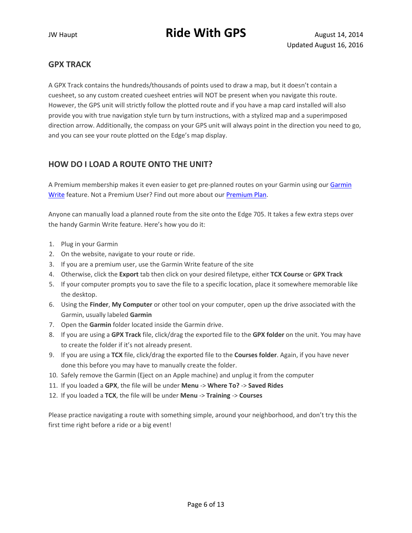#### **GPX TRACK**

A GPX Track contains the hundreds/thousands of points used to draw a map, but it doesn't contain a cuesheet, so any custom created cuesheet entries will NOT be present when you navigate this route. However, the GPS unit will strictly follow the plotted route and if you have a map card installed will also provide you with true navigation style turn by turn instructions, with a stylized map and a superimposed direction arrow. Additionally, the compass on your GPS unit will always point in the direction you need to go, and you can see your route plotted on the Edge's map display.

#### **HOW DO I LOAD A ROUTE ONTO THE UNIT?**

A Premium membership makes it even easier to get pre-planned routes on your [Garmin](http://ridewithgps.com/help/garmin-write) using our Garmin [Write](http://ridewithgps.com/help/garmin-write) feature. Not a Premium User? Find out more about our [Premium Plan.](http://ridewithgps.com/choose_account)

Anyone can manually load a planned route from the site onto the Edge 705. It takes a few extra steps over the handy Garmin Write feature. Here's how you do it:

- 1. Plug in your Garmin
- 2. On the website, navigate to your route or ride.
- 3. If you are a premium user, use the Garmin Write feature of the site
- 4. Otherwise, click the **Export** tab then click on your desired filetype, either **TCX Course** or **GPX Track**
- 5. If your computer prompts you to save the file to a specific location, place it somewhere memorable like the desktop.
- 6. Using the **Finder**, **My Computer** or other tool on your computer, open up the drive associated with the Garmin, usually labeled **Garmin**
- 7. Open the **Garmin** folder located inside the Garmin drive.
- 8. If you are using a **GPX Track** file, click/drag the exported file to the **GPX folder** on the unit. You may have to create the folder if it's not already present.
- 9. If you are using a **TCX** file, click/drag the exported file to the **Courses folder**. Again, if you have never done this before you may have to manually create the folder.
- 10. Safely remove the Garmin (Eject on an Apple machine) and unplug it from the computer
- 11. If you loaded a **GPX**, the file will be under **Menu** -> **Where To?** -> **Saved Rides**
- 12. If you loaded a **TCX**, the file will be under **Menu** -> **Training** -> **Courses**

Please practice navigating a route with something simple, around your neighborhood, and don't try this the first time right before a ride or a big event!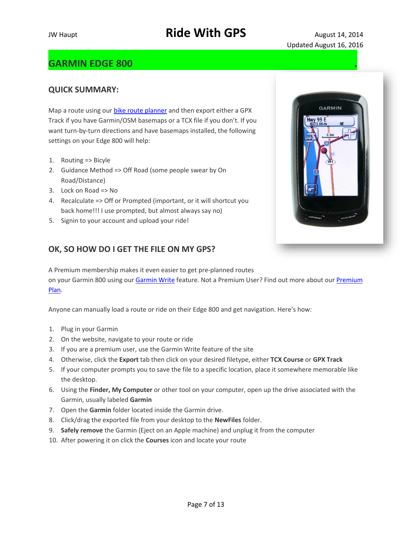### **GARMIN EDGE 800 .**

#### **QUICK SUMMARY:**

Map a route using our [bike route planner](http://ridewithgps.com/routes/new) and then export either a GPX Track if you have Garmin/OSM basemaps or a TCX file if you don't. If you want turn-by-turn directions and have basemaps installed, the following settings on your Edge 800 will help:

- 1. Routing => Bicyle
- 2. Guidance Method => Off Road (some people swear by On Road/Distance)
- 3. Lock on Road => No
- 4. Recalculate => Off or Prompted (important, or it will shortcut you back home!!! I use prompted, but almost always say no)
- 5. Signin to your account and upload your ride!

#### **OK, SO HOW DO I GET THE FILE ON MY GPS?**

A Premium membership makes it even easier to get pre-planned routes on your Garmin 800 using our [Garmin Write](http://ridewithgps.com/help/garmin-write) feature. Not a Premium User? Find out more about our [Premium](http://ridewithgps.com/choose_account)  [Plan.](http://ridewithgps.com/choose_account)

Anyone can manually load a route or ride on their Edge 800 and get navigation. Here's how:

- 1. Plug in your Garmin
- 2. On the website, navigate to your route or ride
- 3. If you are a premium user, use the Garmin Write feature of the site
- 4. Otherwise, click the **Export** tab then click on your desired filetype, either **TCX Course** or **GPX Track**
- 5. If your computer prompts you to save the file to a specific location, place it somewhere memorable like the desktop.
- 6. Using the **Finder, My Computer** or other tool on your computer, open up the drive associated with the Garmin, usually labeled **Garmin**
- 7. Open the **Garmin** folder located inside the Garmin drive.
- 8. Click/drag the exported file from your desktop to the **NewFiles** folder.
- 9. **Safely remove** the Garmin (Eject on an Apple machine) and unplug it from the computer
- 10. After powering it on click the **Courses** icon and locate your route

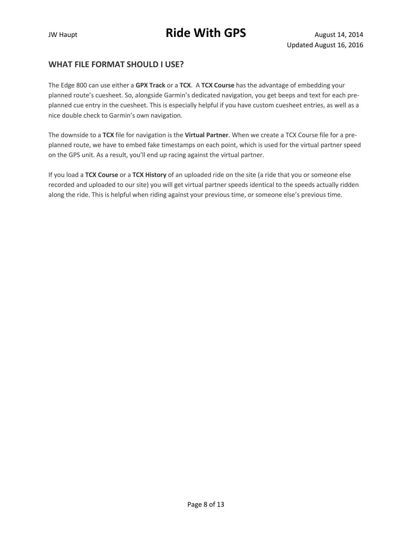#### **WHAT FILE FORMAT SHOULD I USE?**

The Edge 800 can use either a **GPX Track** or a **TCX**. A **TCX Course** has the advantage of embedding your planned route's cuesheet. So, alongside Garmin's dedicated navigation, you get beeps and text for each preplanned cue entry in the cuesheet. This is especially helpful if you have custom cuesheet entries, as well as a nice double check to Garmin's own navigation.

The downside to a **TCX** file for navigation is the **Virtual Partner**. When we create a TCX Course file for a preplanned route, we have to embed fake timestamps on each point, which is used for the virtual partner speed on the GPS unit. As a result, you'll end up racing against the virtual partner.

If you load a **TCX Course** or a **TCX History** of an uploaded ride on the site (a ride that you or someone else recorded and uploaded to our site) you will get virtual partner speeds identical to the speeds actually ridden along the ride. This is helpful when riding against your previous time, or someone else's previous time.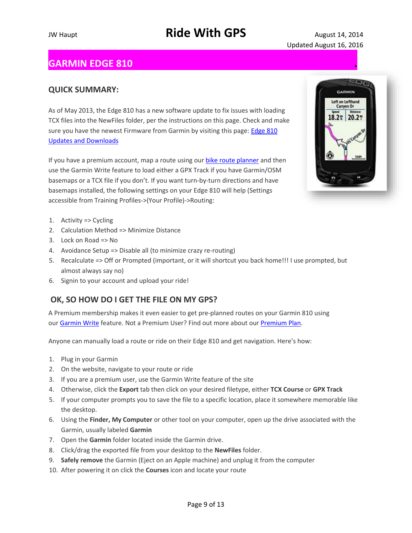### **GARMIN EDGE 810 .**

#### **QUICK SUMMARY:**

As of May 2013, the Edge 810 has a new software update to fix issues with loading TCX files into the NewFiles folder, per the instructions on this page. Check and make sure you have the newest Firmware from Garmin by visiting this page: Edge 810 [Updates and Downloads](http://www8.garmin.com/support/download_details.jsp?id=6005)

If you have a premium account, map a route using our [bike route planner](http://ridewithgps.com/routes/new) and then use the Garmin Write feature to load either a GPX Track if you have Garmin/OSM basemaps or a TCX file if you don't. If you want turn-by-turn directions and have basemaps installed, the following settings on your Edge 810 will help (Settings accessible from Training Profiles->(Your Profile)->Routing:

- 1. Activity => Cycling
- 2. Calculation Method => Minimize Distance
- 3. Lock on Road => No
- 4. Avoidance Setup => Disable all (to minimize crazy re-routing)
- 5. Recalculate => Off or Prompted (important, or it will shortcut you back home!!! I use prompted, but almost always say no)
- 6. Signin to your account and upload your ride!

#### **OK, SO HOW DO I GET THE FILE ON MY GPS?**

A Premium membership makes it even easier to get pre-planned routes on your Garmin 810 using our [Garmin Write](http://ridewithgps.com/help/garmin-write) feature. Not a Premium User? Find out more about our [Premium Plan.](http://ridewithgps.com/choose_account)

Anyone can manually load a route or ride on their Edge 810 and get navigation. Here's how:

- 1. Plug in your Garmin
- 2. On the website, navigate to your route or ride
- 3. If you are a premium user, use the Garmin Write feature of the site
- 4. Otherwise, click the **Export** tab then click on your desired filetype, either **TCX Course** or **GPX Track**
- 5. If your computer prompts you to save the file to a specific location, place it somewhere memorable like the desktop.
- 6. Using the **Finder, My Computer** or other tool on your computer, open up the drive associated with the Garmin, usually labeled **Garmin**
- 7. Open the **Garmin** folder located inside the Garmin drive.
- 8. Click/drag the exported file from your desktop to the **NewFiles** folder.
- 9. **Safely remove** the Garmin (Eject on an Apple machine) and unplug it from the computer
- 10. After powering it on click the **Courses** icon and locate your route

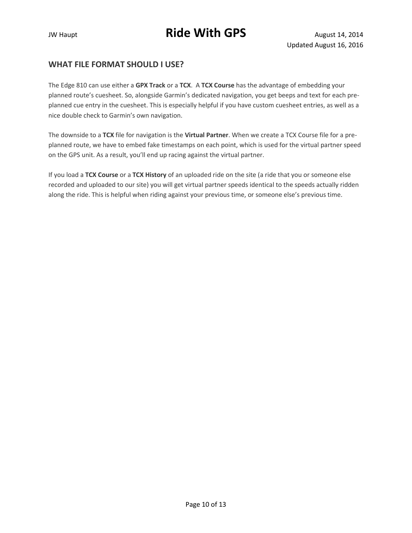#### **WHAT FILE FORMAT SHOULD I USE?**

The Edge 810 can use either a **GPX Track** or a **TCX**. A **TCX Course** has the advantage of embedding your planned route's cuesheet. So, alongside Garmin's dedicated navigation, you get beeps and text for each preplanned cue entry in the cuesheet. This is especially helpful if you have custom cuesheet entries, as well as a nice double check to Garmin's own navigation.

The downside to a **TCX** file for navigation is the **Virtual Partner**. When we create a TCX Course file for a preplanned route, we have to embed fake timestamps on each point, which is used for the virtual partner speed on the GPS unit. As a result, you'll end up racing against the virtual partner.

If you load a **TCX Course** or a **TCX History** of an uploaded ride on the site (a ride that you or someone else recorded and uploaded to our site) you will get virtual partner speeds identical to the speeds actually ridden along the ride. This is helpful when riding against your previous time, or someone else's previous time.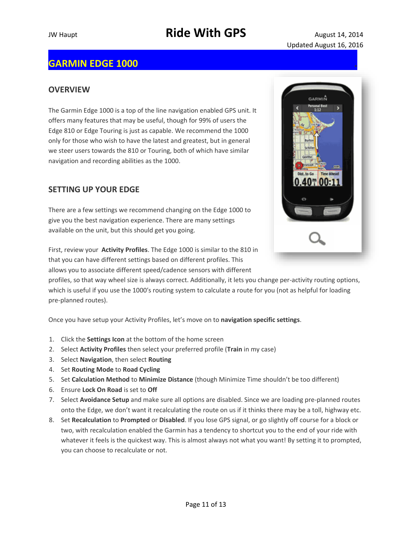### **GARMIN EDGE 1000 [.](http://ep.yimg.com/ay/yhst-39130775443729/garmin-edge-1000-cycling-computer-4.gif)**

#### **OVERVIEW**

The Garmin Edge 1000 is a top of the line navigation enabled GPS unit. It offers many features that may be useful, though for 99% of users the Edge 810 or Edge Touring is just as capable. We recommend the 1000 only for those who wish to have the latest and greatest, but in general we steer users towards the 810 or Touring, both of which have similar navigation and recording abilities as the 1000.

#### **SETTING UP YOUR EDGE**

There are a few settings we recommend changing on the Edge 1000 to give you the best navigation experience. There are many settings available on the unit, but this should get you going.



First, review your **Activity Profiles**. The Edge 1000 is similar to the 810 in that you can have different settings based on different profiles. This allows you to associate different speed/cadence sensors with different

profiles, so that way wheel size is always correct. Additionally, it lets you change per-activity routing options, which is useful if you use the 1000′s routing system to calculate a route for you (not as helpful for loading pre-planned routes).

Once you have setup your Activity Profiles, let's move on to **navigation specific settings**.

- 1. Click the **Settings Icon** at the bottom of the home screen
- 2. Select **Activity Profiles** then select your preferred profile (**Train** in my case)
- 3. Select **Navigation**, then select **Routing**
- 4. Set **Routing Mode** to **Road Cycling**
- 5. Set **Calculation Method** to **Minimize Distance** (though Minimize Time shouldn't be too different)
- 6. Ensure **Lock On Road** is set to **Off**
- 7. Select **Avoidance Setup** and make sure all options are disabled. Since we are loading pre-planned routes onto the Edge, we don't want it recalculating the route on us if it thinks there may be a toll, highway etc.
- 8. Set **Recalculation** to **Prompted** or **Disabled**. If you lose GPS signal, or go slightly off course for a block or two, with recalculation enabled the Garmin has a tendency to shortcut you to the end of your ride with whatever it feels is the quickest way. This is almost always not what you want! By setting it to prompted, you can choose to recalculate or not.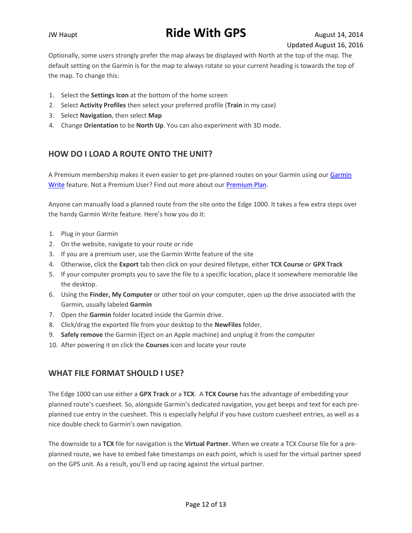Optionally, some users strongly prefer the map always be displayed with North at the top of the map. The default setting on the Garmin is for the map to always rotate so your current heading is towards the top of the map. To change this:

- 1. Select the **Settings Icon** at the bottom of the home screen
- 2. Select **Activity Profiles** then select your preferred profile (**Train** in my case)
- 3. Select **Navigation**, then select **Map**
- 4. Change **Orientation** to be **North Up**. You can also experiment with 3D mode.

#### **HOW DO I LOAD A ROUTE ONTO THE UNIT?**

A Premium membership makes it even easier to get pre-planned routes on your Garmin using our [Garmin](http://ridewithgps.com/help/garmin-write)  [Write](http://ridewithgps.com/help/garmin-write) feature. Not a Premium User? Find out more about our [Premium Plan.](http://ridewithgps.com/choose_account)

Anyone can manually load a planned route from the site onto the Edge 1000. It takes a few extra steps over the handy Garmin Write feature. Here's how you do it:

- 1. Plug in your Garmin
- 2. On the website, navigate to your route or ride
- 3. If you are a premium user, use the Garmin Write feature of the site
- 4. Otherwise, click the **Export** tab then click on your desired filetype, either **TCX Course** or **GPX Track**
- 5. If your computer prompts you to save the file to a specific location, place it somewhere memorable like the desktop.
- 6. Using the **Finder, My Computer** or other tool on your computer, open up the drive associated with the Garmin, usually labeled **Garmin**
- 7. Open the **Garmin** folder located inside the Garmin drive.
- 8. Click/drag the exported file from your desktop to the **NewFiles** folder.
- 9. **Safely remove** the Garmin (Eject on an Apple machine) and unplug it from the computer
- 10. After powering it on click the **Courses** icon and locate your route

#### **WHAT FILE FORMAT SHOULD I USE?**

The Edge 1000 can use either a **GPX Track** or a **TCX**. A **TCX Course** has the advantage of embedding your planned route's cuesheet. So, alongside Garmin's dedicated navigation, you get beeps and text for each preplanned cue entry in the cuesheet. This is especially helpful if you have custom cuesheet entries, as well as a nice double check to Garmin's own navigation.

The downside to a **TCX** file for navigation is the **Virtual Partner**. When we create a TCX Course file for a preplanned route, we have to embed fake timestamps on each point, which is used for the virtual partner speed on the GPS unit. As a result, you'll end up racing against the virtual partner.